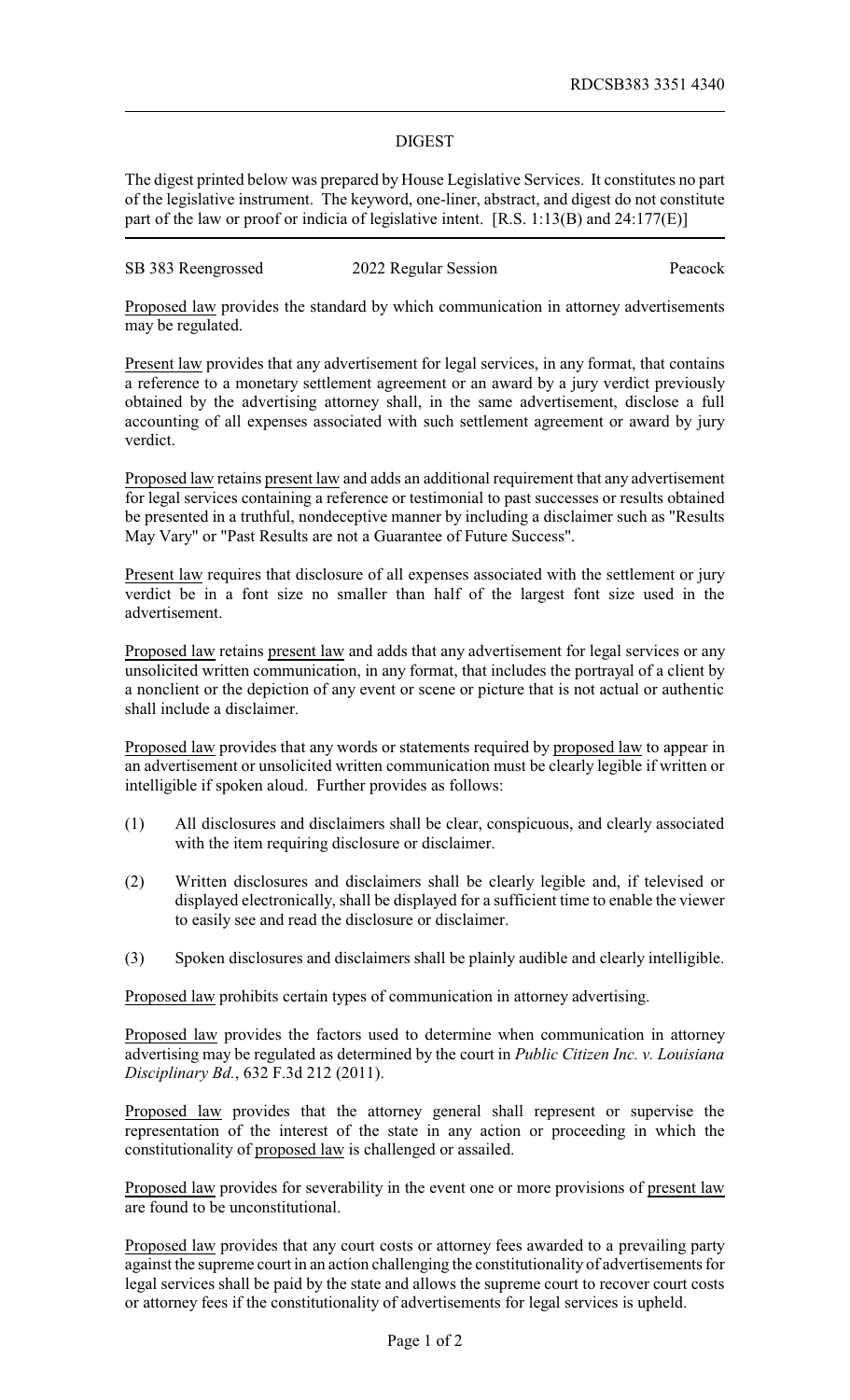## DIGEST

The digest printed below was prepared by House Legislative Services. It constitutes no part of the legislative instrument. The keyword, one-liner, abstract, and digest do not constitute part of the law or proof or indicia of legislative intent. [R.S. 1:13(B) and 24:177(E)]

SB 383 Reengrossed 2022 Regular Session Peacock

Proposed law provides the standard by which communication in attorney advertisements may be regulated.

Present law provides that any advertisement for legal services, in any format, that contains a reference to a monetary settlement agreement or an award by a jury verdict previously obtained by the advertising attorney shall, in the same advertisement, disclose a full accounting of all expenses associated with such settlement agreement or award by jury verdict.

Proposed law retains present law and adds an additional requirement that any advertisement for legal services containing a reference or testimonial to past successes or results obtained be presented in a truthful, nondeceptive manner by including a disclaimer such as "Results May Vary" or "Past Results are not a Guarantee of Future Success".

Present law requires that disclosure of all expenses associated with the settlement or jury verdict be in a font size no smaller than half of the largest font size used in the advertisement.

Proposed law retains present law and adds that any advertisement for legal services or any unsolicited written communication, in any format, that includes the portrayal of a client by a nonclient or the depiction of any event or scene or picture that is not actual or authentic shall include a disclaimer.

Proposed law provides that any words or statements required by proposed law to appear in an advertisement or unsolicited written communication must be clearly legible if written or intelligible if spoken aloud. Further provides as follows:

- (1) All disclosures and disclaimers shall be clear, conspicuous, and clearly associated with the item requiring disclosure or disclaimer.
- (2) Written disclosures and disclaimers shall be clearly legible and, if televised or displayed electronically, shall be displayed for a sufficient time to enable the viewer to easily see and read the disclosure or disclaimer.
- (3) Spoken disclosures and disclaimers shall be plainly audible and clearly intelligible.

Proposed law prohibits certain types of communication in attorney advertising.

Proposed law provides the factors used to determine when communication in attorney advertising may be regulated as determined by the court in *Public Citizen Inc. v. Louisiana Disciplinary Bd.*, 632 F.3d 212 (2011).

Proposed law provides that the attorney general shall represent or supervise the representation of the interest of the state in any action or proceeding in which the constitutionality of proposed law is challenged or assailed.

Proposed law provides for severability in the event one or more provisions of present law are found to be unconstitutional.

Proposed law provides that any court costs or attorney fees awarded to a prevailing party against the supreme court in an action challenging the constitutionality of advertisements for legal services shall be paid by the state and allows the supreme court to recover court costs or attorney fees if the constitutionality of advertisements for legal services is upheld.